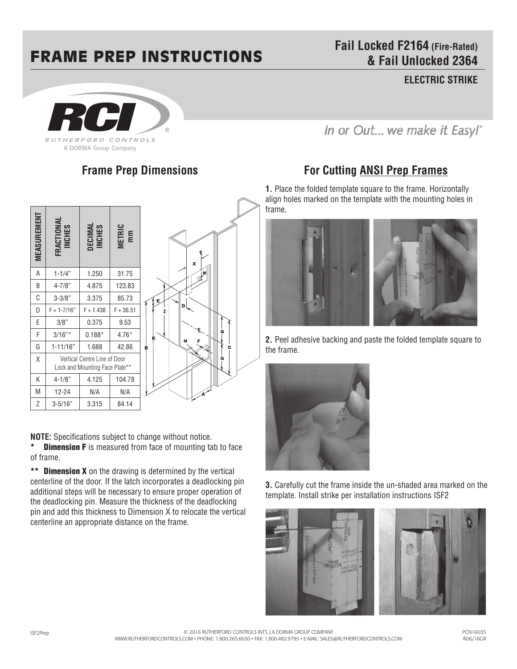## FRAME PREP INSTRUCTIONS

**Fail Locked F2164 (Fire-Rated) & Fail Unlocked 2364**

**ELECTRIC STRIKE** 



**Frame Prep Dimensions**



**NOTE:** Specifications subject to change without notice. **Dimension F** is measured from face of mounting tab to face of frame.

\*\* **Dimension X** on the drawing is determined by the vertical centerline of the door. If the latch incorporates a deadlocking pin additional steps will be necessary to ensure proper operation of the deadlocking pin. Measure the thickness of the deadlocking pin and add this thickness to Dimension X to relocate the vertical centerline an appropriate distance on the frame.

In or Out... we make it Easy!"

## **For Cutting ANSI Prep Frames**

**1.** Place the folded template square to the frame. Horizontally align holes marked on the template with the mounting holes in frame.



**2.** Peel adhesive backing and paste the folded template square to the frame.



**3.** Carefully cut the frame inside the un-shaded area marked on the template. Install strike per installation instructions ISF2



ISF2Prep